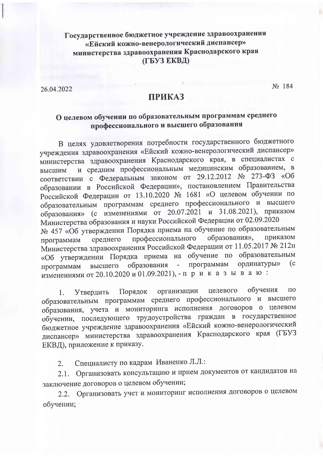## Государственное бюджетное учреждение здравоохранения «Ейский кожно-венерологический диспансер» министерства здравоохранения Краснодарского края (ГБУЗ ЕКВД)

26.04.2022

No 184

## **ПРИКАЗ**

# О целевом обучении по образовательным программам среднего профессионального и высшего образования

В целях удовлетворения потребности государственного бюджетного учреждения здравоохранения «Ейский кожно-венерологический диспансер» министерства здравоохранения Краснодарского края, в специалистах с и средним профессиональным медицинским образованием, в высшим соответствии с Федеральным законом от 29.12.2012 № 273-ФЗ «Об образовании в Российской Федерации», постановлением Правительства Российской Федерации от 13.10.2020 № 1681 «О целевом обучении по образовательным программам среднего профессионального и высшего образования» (с изменениями от 20.07.2021 и 31.08.2021), приказом Министерства образования и науки Российской Федерации от 02.09.2020 № 457 «Об утверждении Порядка приема на обучение по образовательным приказом образования», профессионального среднего программам Министерства здравоохранения Российской Федерации от 11.05.2017 № 212н «Об утверждении Порядка приема на обучение по образовательным  $(c)$ ординатуры»  $\sim$   $\sim$ программам образования высшего программам изменениями от 20.10.2020 и 01.09.2021), - п р и к а з ы в а ю :

обучения  $\Pi$ O организации целевого Порядок 1. Утвердить образовательным программам среднего профессионального и высшего образования, учета и мониторинга исполнения договоров о целевом обучении, последующего трудоустройства граждан в государственное бюджетное учреждение здравоохранения «Ейский кожно-венерологический диспансер» министерства здравоохранения Краснодарского края (ГБУЗ ЕКВД), приложение к приказу.

Специалисту по кадрам Иваненко Л.Л.:  $2.$ 

2.1. Организовать консультацию и прием документов от кандидатов на заключение договоров о целевом обучении;

2.2. Организовать учет и мониторинг исполнения договоров о целевом обучении;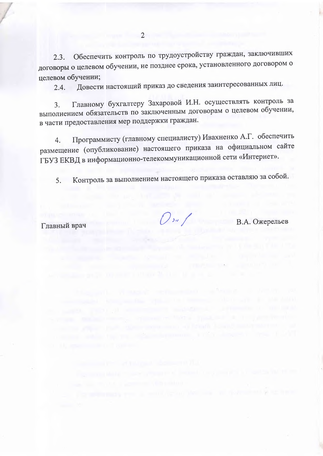Обеспечить контроль по трудоустройству граждан, заключивших  $2.3.$ договоры о целевом обучении, не позднее срока, установленного договором о нелевом обучении;

Довести настоящий приказ до сведения заинтересованных лиц.  $2.4.$ 

Главному бухгалтеру Захаровой И.Н. осуществлять контроль за  $\mathcal{F}$ выполнением обязательств по заключенным договорам о целевом обучении, в части предоставления мер поддержки граждан.

Программисту (главному специалисту) Ивахненко А.Г. обеспечить  $\overline{4}$ . размещение (опубликование) настоящего приказа на официальном сайте ГБУЗ ЕКВД в информационно-телекоммуникационной сети «Интернет».

Контроль за выполнением настоящего приказа оставляю за собой.  $5.$ 

Главный врач

 $\mathcal{O}$  on  $f$ 

В.А. Ожерельев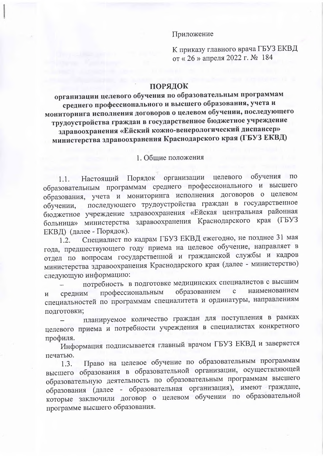#### Приложение

К приказу главного врача ГБУЗ ЕКВД от «26» апреля 2022 г. № 184

### ПОРЯДОК

организации целевого обучения по образовательным программам среднего профессионального и высшего образования, учета и мониторинга исполнения договоров о целевом обучении, последующего трудоустройства граждан в государственное бюджетное учреждение здравоохранения «Ейский кожно-венерологический диспансер» министерства здравоохранения Краснодарского края (ГБУЗ ЕКВД)

#### 1. Общие положения

Настоящий Порядок организации целевого обучения  $\Pi$ O  $1.1.$ образовательным программам среднего профессионального и высшего образования, учета и мониторинга исполнения договоров о целевом последующего трудоустройства граждан в государственное обучении, бюджетное учреждение здравоохранения «Ейская центральная районная больница» министерства здравоохранения Краснодарского края (ГБУЗ ЕКВД) (далее - Порядок).

Специалист по кадрам ГБУЗ ЕКВД ежегодно, не позднее 31 мая  $1.2.$ года, предшествующего году приема на целевое обучение, направляет в отдел по вопросам государственной и гражданской службы и кадров министерства здравоохранения Краснодарского края (далее - министерство) следующую информацию:

потребность в подготовке медицинских специалистов с высшим наименованием образованием  $\mathbf{C}$ профессиональным средним  $\overline{M}$ специальностей по программам специалитета и ординатуры, направлениям подготовки;

планируемое количество граждан для поступления в рамках целевого приема и потребности учреждения в специалистах конкретного профиля.

Информация подписывается главный врачом ГБУЗ ЕКВД и заверяется печатью.

Право на целевое обучение по образовательным программам  $1.3.$ высшего образования в образовательной организации, осуществляющей образовательную деятельность по образовательным программам высшего образования (далее - образовательная организация), имеют граждане, которые заключили договор о целевом обучении по образовательной программе высшего образования.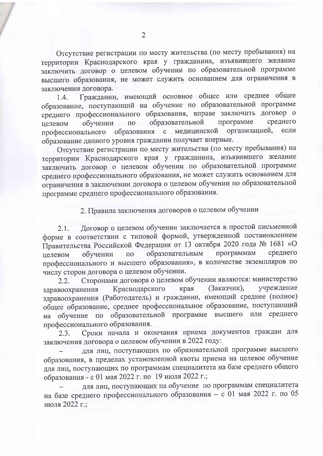Отсутствие регистрации по месту жительства (по месту пребывания) на территории Краснодарского края у гражданина, изъявившего желание заключить договор о целевом обучении по образовательной программе высшего образования, не может служить основанием для ограничения в заключении договора.

Гражданин, имеющий основное общее или среднее общее 1.4. образование, поступающий на обучение по образовательной программе среднего профессионального образования, вправе заключить договор о образовательной среднего программе  $\Pi$  O обучении целевом профессионального образования с медицинской организацией, если образование данного уровня гражданин получает впервые.

Отсутствие регистрации по месту жительства (по месту пребывания) на территории Краснодарского края у гражданина, изъявившего желание заключить договор о целевом обучении по образовательной программе среднего профессионального образования, не может служить основанием для ограничения в заключении договора о целевом обучении по образовательной программе среднего профессионального образования.

2. Правила заключения договоров о целевом обучении

Договор о целевом обучении заключается в простой письменной  $2.1.$ форме в соответствии с типовой формой, утвержденной постановлением Правительства Российской Федерации от 13 октября 2020 года № 1681 «О образовательным программам среднего обучении  $\Pi$ O целевом профессионального и высшего образования», в количестве экземпляров по числу сторон договора о целевом обучении.

Сторонами договора о целевом обучении являются: министерство  $2.2.$ учреждение Краснодарского (Заказчик), края здравоохранения здравоохранения (Работодатель) и гражданин, имеющий среднее (полное) общее образование, среднее профессиональное образование, поступающий на обучение по образовательной программе высшего или среднего профессионального образования.

Сроки начала и окончания приема документов граждан для  $2.3.$ заключения договора о целевом обучении в 2022 году:

для лиц, поступающих по образовательной программе высшего образования, в пределах установленной квоты приема на целевое обучение для лиц, поступающих по программам специалитета на базе среднего общего образования - с 01 мая 2022 г. по 19 июля 2022 г.;

для лиц, поступающих на обучение по программам специалитета на базе среднего профессионального образования - с 01 мая 2022 г. по 05 июля 2022 г.;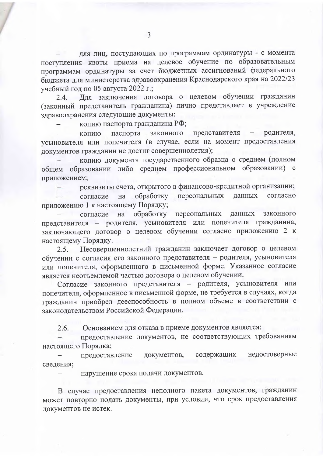для лиц, поступающих по программам ординатуры - с момента поступления квоты приема на целевое обучение по образовательным программам ординатуры за счет бюджетных ассигнований федерального бюджета для министерства здравоохранения Краснодарского края на 2022/23 учебный год по 05 августа 2022 г.;

Для заключения договора о целевом обучении гражданин 2.4. (законный представитель гражданина) лично представляет в учреждение здравоохранения следующие документы:

копию паспорта гражданина РФ;

паспорта законного представителя родителя, копию усыновителя или попечителя (в случае, если на момент предоставления документов гражданин не достиг совершеннолетия);

копию документа государственного образца о среднем (полном общем образовании либо среднем профессиональном образовании) с приложением;

реквизиты счета, открытого в финансово-кредитной организации;

обработку персональных согласно данных согласие на приложению 1 к настоящему Порядку;

обработку персональных законного данных согласие на представителя - родителя, усыновителя или попечителя гражданина, заключающего договор о целевом обучении согласно приложению 2 к настоящему Порядку.

Несовершеннолетний гражданин заключает договор о целевом  $2.5.$ обучении с согласия его законного представителя - родителя, усыновителя или попечителя, оформленного в письменной форме. Указанное согласие является неотъемлемой частью договора о целевом обучении.

Согласие законного представителя - родителя, усыновителя или попечителя, оформленное в письменной форме, не требуется в случаях, когда гражданин приобрел дееспособность в полном объеме в соответствии с законодательством Российской Федерации.

2.6. Основанием для отказа в приеме документов является:

предоставление документов, не соответствующих требованиям настоящего Порядка;

недостоверные документов, содержащих предоставление сведения;

нарушение срока подачи документов.

В случае предоставления неполного пакета документов, гражданин может повторно подать документы, при условии, что срок предоставления документов не истек.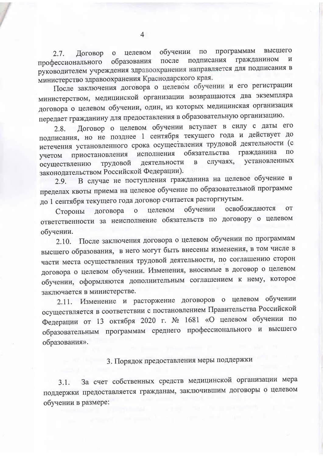программам высшего обучении  $\Pi$ O целевом  $2.7.$ Договор  $\mathbf{O}$ гражданином подписания  $\mathbf{M}$ образования после профессионального руководителем учреждения здравоохранения направляется для подписания в министерство здравоохранения Краснодарского края.

После заключения договора о целевом обучении и его регистрации министерством, медицинской организации возвращаются два экземпляра договора о целевом обучении, один, из которых медицинская организация передает гражданину для предоставления в образовательную организацию.

Договор о целевом обучении вступает в силу с даты его  $2.8.$ подписания, но не позднее 1 сентября текущего года и действует до истечения установленного срока осуществления трудовой деятельности (с обязательства гражданина  $\Pi$ <sup>O</sup> исполнения приостановления учетом установленных случаях, деятельности  $\, {\bf B}$ трудовой осуществлению законодательством Российской Федерации).

В случае не поступления гражданина на целевое обучение в 2.9. пределах квоты приема на целевое обучение по образовательной программе до 1 сентября текущего года договор считается расторгнутым.

освобождаются **OT** обучении целевом договора  $\overline{O}$ Стороны ответственности за неисполнение обязательств по договору о целевом обучении.

После заключения договора о целевом обучении по программам  $2.10.$ высшего образования, в него могут быть внесены изменения, в том числе в части места осуществления трудовой деятельности, по соглашению сторон договора о целевом обучении. Изменения, вносимые в договор о целевом обучении, оформляются дополнительным соглашением к нему, которое заключается в министерстве.

2.11. Изменение и расторжение договоров о целевом обучении осуществляется в соответствии с постановлением Правительства Российской Федерации от 13 октября 2020 г. № 1681 «О целевом обучении по образовательным программам среднего профессионального и высшего образования».

# 3. Порядок предоставления меры поддержки

За счет собственных средств медицинской организации мера  $3.1.$ поддержки предоставляется гражданам, заключившим договоры о целевом обучении в размере: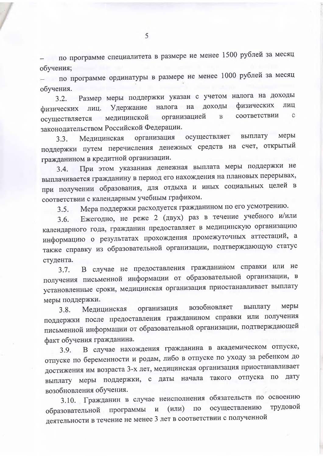- по программе специалитета в размере не менее 1500 рублей за месяц обучения;

- по программе ординатуры в размере не менее 1000 рублей за месяц обучения.

3.2. Размер меры поддержки указан с учетом налога на доходы Удержание налога на доходы физических ЛИЦ физических лиц. соответствии  $\mathbf{C}$ организацией  $\overline{B}$ медицинской осуществляется законодательством Российской Федерации.

меры осуществляет выплату организация Мелицинская  $3.3.$ поддержки путем перечисления денежных средств на счет, открытый гражданином в кредитной организации.

При этом указанная денежная выплата меры поддержки не  $3.4.$ выплачивается гражданину в период его нахождения на плановых перерывах, при получении образования, для отдыха и иных социальных целей в соответствии с календарным учебным графиком.

Мера поддержки расходуется гражданином по его усмотрению.  $3.5.$ 

Ежегодно, не реже 2 (двух) раз в течение учебного и/или  $3.6.$ календарного года, гражданин предоставляет в медицинскую организацию информацию о результатах прохождения промежуточных аттестаций, а также справку из образовательной организации, подтверждающую статус студента.

В случае не предоставления гражданином справки или не  $3.7.$ получения письменной информации от образовательной организации, в установленные сроки, медицинская организация приостанавливает выплату меры поддержки.

меры возобновляет выплату организация Медицинская  $3.8.$ поддержки после предоставления гражданином справки или получения письменной информации от образовательной организации, подтверждающей факт обучения гражданина.

В случае нахождения гражданина в академическом отпуске,  $3.9.$ отпуске по беременности и родам, либо в отпуске по уходу за ребенком до достижения им возраста 3-х лет, медицинская организация приостанавливает выплату меры поддержки, с даты начала такого отпуска по лату возобновления обучения.

3.10. Гражданин в случае неисполнения обязательств по освоению трудовой осуществлению образовательной программы и  $(MJ)$  $\overline{10}$ деятельности в течение не менее 3 лет в соответствии с полученной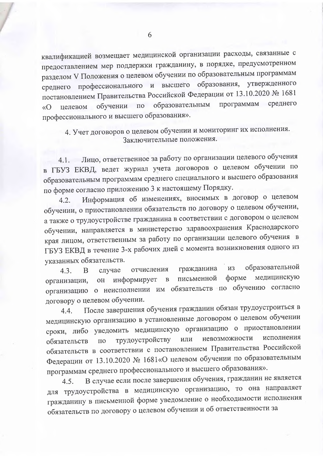квалификацией возмещает медицинской организации расходы, связанные с предоставлением мер поддержки гражданину, в порядке, предусмотренном разделом V Положения о целевом обучении по образовательным программам среднего профессионального и высшего образования, утвержденного постановлением Правительства Российской Федерации от 13.10.2020 № 1681 программам среднего обучении по образовательным целевом  $\langle \langle \mathbf{O} \rangle$ профессионального и высшего образования».

4. Учет договоров о целевом обучении и мониторинг их исполнения. Заключительные положения.

Лицо, ответственное за работу по организации целевого обучения 4.1. в ГБУЗ ЕКВД, ведет журнал учета договоров о целевом обучении по образовательным программам среднего специального и высшего образования по форме согласно приложению 3 к настоящему Порядку.

Информация об изменениях, вносимых в договор о целевом  $4.2.$ обучении, о приостановлении обязательств по договору о целевом обучении, а также о трудоустройстве гражданина в соответствии с договором о целевом обучении, направляется в министерство здравоохранения Краснодарского края лицом, ответственным за работу по организации целевого обучения в ГБУЗ ЕКВД в течение 3-х рабочих дней с момента возникновения одного из указанных обязательств.

образовательной гражданина И3 отчисления 43.  $\overline{B}$ случае медицинскую форме письменной  $\mathbf{B}$ информирует  $OH$ организации, организацию о неисполнении им обязательств по обучению согласно договору о целевом обучении.

После завершения обучения гражданин обязан трудоустроиться в 4.4. медицинскую организацию в установленные договором о целевом обучении сроки, либо уведомить медицинскую организацию о приостановлении невозможности исполнения трудоустройству или обязательств  $\Pi$ <sup>O</sup> обязательств в соответствии с постановлением Правительства Российской Федерации от 13.10.2020 № 1681«О целевом обучении по образовательным программам среднего профессионального и высшего образования».

В случае если после завершения обучения, гражданин не является 4.5. для трудоустройства в медицинскую организацию, то она направляет гражданину в письменной форме уведомление о необходимости исполнения обязательств по договору о целевом обучении и об ответственности за